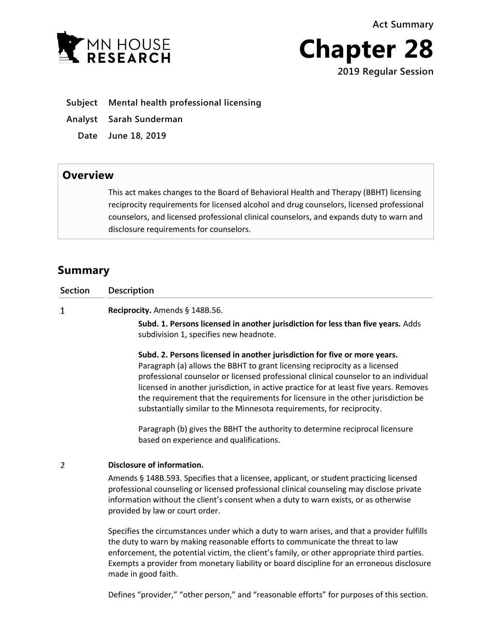**Act Summary**





- **Subject Mental health professional licensing**
- **Analyst Sarah Sunderman**
	- **Date June 18, 2019**

## **Overview**

This act makes changes to the Board of Behavioral Health and Therapy (BBHT) licensing reciprocity requirements for licensed alcohol and drug counselors, licensed professional counselors, and licensed professional clinical counselors, and expands duty to warn and disclosure requirements for counselors.

# **Summary**

| <b>Section</b> | <b>Description</b>                                                                                                                                                                                                                                                                                                                                                                                                                                                                                   |
|----------------|------------------------------------------------------------------------------------------------------------------------------------------------------------------------------------------------------------------------------------------------------------------------------------------------------------------------------------------------------------------------------------------------------------------------------------------------------------------------------------------------------|
| $\mathbf{1}$   | Reciprocity. Amends § 148B.56.                                                                                                                                                                                                                                                                                                                                                                                                                                                                       |
|                | Subd. 1. Persons licensed in another jurisdiction for less than five years. Adds<br>subdivision 1, specifies new headnote.                                                                                                                                                                                                                                                                                                                                                                           |
|                | Subd. 2. Persons licensed in another jurisdiction for five or more years.<br>Paragraph (a) allows the BBHT to grant licensing reciprocity as a licensed<br>professional counselor or licensed professional clinical counselor to an individual<br>licensed in another jurisdiction, in active practice for at least five years. Removes<br>the requirement that the requirements for licensure in the other jurisdiction be<br>substantially similar to the Minnesota requirements, for reciprocity. |
|                | Paragraph (b) gives the BBHT the authority to determine reciprocal licensure<br>based on experience and qualifications.                                                                                                                                                                                                                                                                                                                                                                              |
| 2              | Disclosure of information.                                                                                                                                                                                                                                                                                                                                                                                                                                                                           |
|                | Amends § 148B.593. Specifies that a licensee, applicant, or student practicing licensed<br>professional counseling or licensed professional clinical counseling may disclose private<br>information without the client's consent when a duty to warn exists, or as otherwise<br>provided by law or court order.                                                                                                                                                                                      |
|                | Specifies the circumstances under which a duty to warn arises, and that a provider fulfills<br>the duty to warn by making reasonable efforts to communicate the threat to law<br>enforcement the notential victim the client's family or other annropriate third narties                                                                                                                                                                                                                             |

t, the potential victim, the client's family, or other appropriate third parties. Exempts a provider from monetary liability or board discipline for an erroneous disclosure made in good faith.

Defines "provider," "other person," and "reasonable efforts" for purposes of this section.